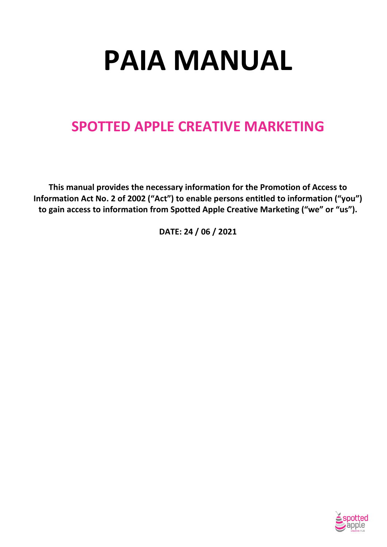# **PAIA MANUAL**

# **SPOTTED APPLE CREATIVE MARKETING**

**This manual provides the necessary information for the Promotion of Access to Information Act No. 2 of 2002 ("Act") to enable persons entitled to information ("you") to gain access to information from Spotted Apple Creative Marketing ("we" or "us").** 

**DATE: 24 / 06 / 2021**

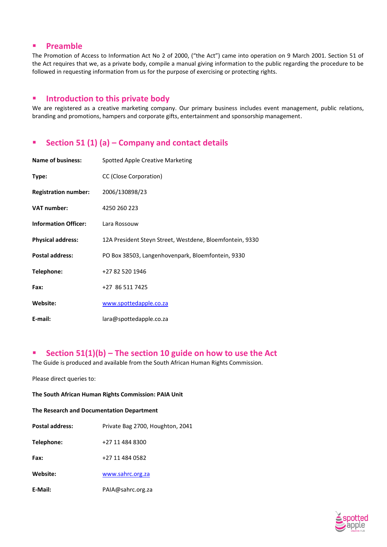# **Preamble**

The Promotion of Access to Information Act No 2 of 2000, ("the Act") came into operation on 9 March 2001. Section 51 of the Act requires that we, as a private body, compile a manual giving information to the public regarding the procedure to be followed in requesting information from us for the purpose of exercising or protecting rights.

# **Introduction to this private body**

We are registered as a creative marketing company. Our primary business includes event management, public relations, branding and promotions, hampers and corporate gifts, entertainment and sponsorship management.

# **Section 51 (1) (a) – Company and contact details**

| <b>Name of business:</b>    | Spotted Apple Creative Marketing                         |
|-----------------------------|----------------------------------------------------------|
| Type:                       | CC (Close Corporation)                                   |
| <b>Registration number:</b> | 2006/130898/23                                           |
| <b>VAT number:</b>          | 4250 260 223                                             |
| <b>Information Officer:</b> | Lara Rossouw                                             |
| <b>Physical address:</b>    | 12A President Steyn Street, Westdene, Bloemfontein, 9330 |
| <b>Postal address:</b>      | PO Box 38503, Langenhovenpark, Bloemfontein, 9330        |
| Telephone:                  | +27 82 520 1946                                          |
| Fax:                        | +27 86 511 7425                                          |
| Website:                    | www.spottedapple.co.za                                   |
| E-mail:                     | lara@spottedapple.co.za                                  |

# **Section 51(1)(b) – The section 10 guide on how to use the Act**

The Guide is produced and available from the South African Human Rights Commission.

Please direct queries to:

#### **The South African Human Rights Commission: PAIA Unit**

#### **The Research and Documentation Department**

| <b>Postal address:</b> | Private Bag 2700, Houghton, 2041 |
|------------------------|----------------------------------|
| Telephone:             | +27 11 484 8300                  |
| Fax:                   | +27 11 484 0582                  |
| Website:               | www.sahrc.org.za                 |
| E-Mail:                | PAIA@sahrc.org.za                |

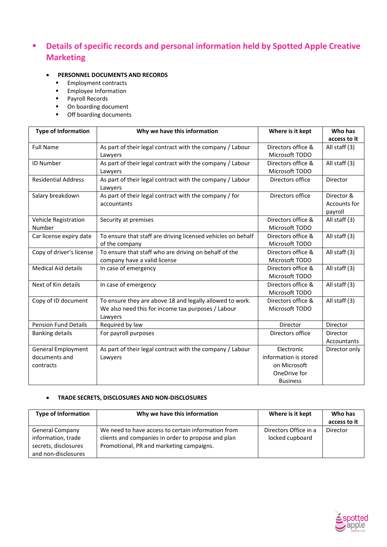# **Physics of specific records and personal information held by Spotted Apple Creative Marketing**

# **PERSONNEL DOCUMENTS AND RECORDS**

- **Employment contracts**
- **Employee Information**
- **Payroll Records**
- On boarding document
- **•** Off boarding documents

| <b>Type of Information</b>  | Why we have this information                                         | Where is it kept      | Who has       |
|-----------------------------|----------------------------------------------------------------------|-----------------------|---------------|
|                             |                                                                      |                       | access to it  |
| <b>Full Name</b>            | As part of their legal contract with the company / Labour            | Directors office &    | All staff (3) |
|                             | Lawyers                                                              | Microsoft TODO        |               |
| <b>ID Number</b>            | As part of their legal contract with the company / Labour            | Directors office &    | All staff (3) |
|                             | Lawyers                                                              | Microsoft TODO        |               |
| <b>Residential Address</b>  | As part of their legal contract with the company / Labour<br>Lawyers | Directors office      | Director      |
| Salary breakdown            | As part of their legal contract with the company / for               | Directors office      | Director &    |
|                             | accountants                                                          |                       | Accounts for  |
|                             |                                                                      |                       | payroll       |
| Vehicle Registration        | Security at premises                                                 | Directors office &    | All staff (3) |
| Number                      |                                                                      | Microsoft TODO        |               |
| Car license expiry date     | To ensure that staff are driving licensed vehicles on behalf         | Directors office &    | All staff (3) |
|                             | of the company                                                       | Microsoft TODO        |               |
| Copy of driver's license    | To ensure that staff who are driving on behalf of the                | Directors office &    | All staff (3) |
|                             | company have a valid license                                         | Microsoft TODO        |               |
| <b>Medical Aid details</b>  | In case of emergency                                                 | Directors office &    | All staff (3) |
|                             |                                                                      | Microsoft TODO        |               |
| Next of Kin details         | In case of emergency                                                 | Directors office &    | All staff (3) |
|                             |                                                                      | Microsoft TODO        |               |
| Copy of ID document         | To ensure they are above 18 and legally allowed to work.             | Directors office &    | All staff (3) |
|                             | We also need this for income tax purposes / Labour                   | Microsoft TODO        |               |
|                             | Lawyers                                                              |                       |               |
| <b>Pension Fund Details</b> | Required by law                                                      | Director              | Director      |
| <b>Banking details</b>      | For payroll purposes                                                 | Directors office      | Director      |
|                             |                                                                      |                       | Accountants   |
| <b>General Employment</b>   | As part of their legal contract with the company / Labour            | Electronic            | Director only |
| documents and               | Lawyers                                                              | information is stored |               |
| contracts                   |                                                                      | on Microsoft          |               |
|                             |                                                                      | OneDrive for          |               |
|                             |                                                                      | <b>Business</b>       |               |

#### **TRADE SECRETS, DISCLOSURES AND NON-DISCLOSURES**

| <b>Type of Information</b>                                           | Why we have this information                                                                                                                         | Where is it kept                         | Who has<br>access to it |
|----------------------------------------------------------------------|------------------------------------------------------------------------------------------------------------------------------------------------------|------------------------------------------|-------------------------|
| <b>General Company</b><br>information, trade<br>secrets, disclosures | We need to have access to certain information from<br>clients and companies in order to propose and plan<br>Promotional, PR and marketing campaigns. | Directors Office in a<br>locked cupboard | Director                |
| and non-disclosures                                                  |                                                                                                                                                      |                                          |                         |

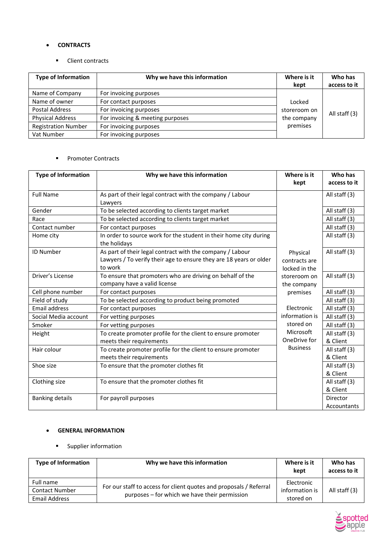#### **CONTRACTS**

**Client contracts** 

| <b>Type of Information</b> | Why we have this information     | Where is it<br>kept | Who has<br>access to it |
|----------------------------|----------------------------------|---------------------|-------------------------|
| Name of Company            | For invoicing purposes           |                     |                         |
| Name of owner              | For contact purposes             | Locked              |                         |
| Postal Address             | For invoicing purposes           | storeroom on        |                         |
| <b>Physical Address</b>    | For invoicing & meeting purposes | the company         | All staff (3)           |
| <b>Registration Number</b> | For invoicing purposes           | premises            |                         |
| Vat Number                 | For invoicing purposes           |                     |                         |

#### **Promoter Contracts**

| <b>Type of Information</b> | Why we have this information                                       | Where is it     | Who has       |
|----------------------------|--------------------------------------------------------------------|-----------------|---------------|
|                            |                                                                    | kept            | access to it  |
| <b>Full Name</b>           | As part of their legal contract with the company / Labour          |                 | All staff (3) |
|                            | Lawyers                                                            |                 |               |
| Gender                     | To be selected according to clients target market                  |                 | All staff (3) |
| Race                       | To be selected according to clients target market                  |                 | All staff (3) |
| Contact number             | For contact purposes                                               |                 | All staff (3) |
| Home city                  | In order to source work for the student in their home city during  |                 | All staff (3) |
|                            | the holidays                                                       |                 |               |
| <b>ID Number</b>           | As part of their legal contract with the company / Labour          | Physical        | All staff (3) |
|                            | Lawyers / To verify their age to ensure they are 18 years or older | contracts are   |               |
|                            | to work                                                            | locked in the   |               |
| Driver's License           | To ensure that promoters who are driving on behalf of the          | storeroom on    | All staff (3) |
|                            | company have a valid license                                       | the company     |               |
| Cell phone number          | For contact purposes                                               | premises        | All staff (3) |
| Field of study             | To be selected according to product being promoted                 |                 | All staff (3) |
| <b>Email address</b>       | For contact purposes                                               | Electronic      | All staff (3) |
| Social Media account       | For vetting purposes                                               | information is  | All staff (3) |
| Smoker                     | For vetting purposes                                               | stored on       | All staff (3) |
| Height                     | To create promoter profile for the client to ensure promoter       | Microsoft       | All staff (3) |
|                            | meets their requirements                                           | OneDrive for    | & Client      |
| Hair colour                | To create promoter profile for the client to ensure promoter       | <b>Business</b> | All staff (3) |
|                            | meets their requirements                                           |                 | & Client      |
| Shoe size                  | To ensure that the promoter clothes fit                            |                 | All staff (3) |
|                            |                                                                    |                 | & Client      |
| Clothing size              | To ensure that the promoter clothes fit                            |                 | All staff (3) |
|                            |                                                                    |                 | & Client      |
| <b>Banking details</b>     | For payroll purposes                                               |                 | Director      |
|                            |                                                                    |                 | Accountants   |

#### **GENERAL INFORMATION**

**s** Supplier information

| <b>Type of Information</b> | Why we have this information                                                                                        | Where is it<br>kept | Who has<br>access to it |
|----------------------------|---------------------------------------------------------------------------------------------------------------------|---------------------|-------------------------|
| Full name                  |                                                                                                                     | Electronic          |                         |
| <b>Contact Number</b>      | For our staff to access for client quotes and proposals / Referral<br>purposes – for which we have their permission | information is      | All staff (3)           |
| Email Address              |                                                                                                                     | stored on           |                         |

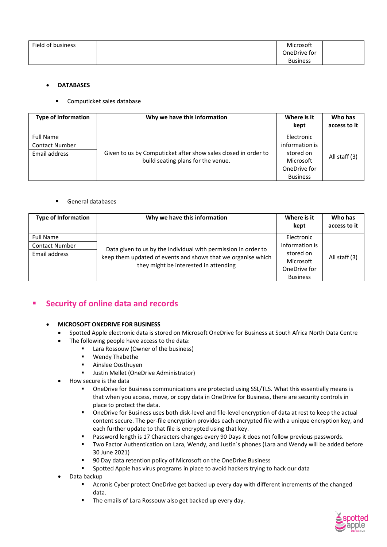| Field of business | Microsoft       |  |
|-------------------|-----------------|--|
|                   | OneDrive for    |  |
|                   | <b>Business</b> |  |

#### **DATABASES**

#### Computicket sales database

| <b>Type of Information</b> | Why we have this information                                   | Where is it<br>kept | Who has<br>access to it |
|----------------------------|----------------------------------------------------------------|---------------------|-------------------------|
| <b>Full Name</b>           |                                                                | Electronic          |                         |
| <b>Contact Number</b>      |                                                                | information is      |                         |
| Email address              | Given to us by Computicket after show sales closed in order to | stored on           | All staff (3)           |
|                            | build seating plans for the venue.                             | Microsoft           |                         |
|                            |                                                                | OneDrive for        |                         |
|                            |                                                                | <b>Business</b>     |                         |

#### General databases

| <b>Type of Information</b> | Why we have this information                                                                                                                                            | Where is it<br>kept | Who has<br>access to it |
|----------------------------|-------------------------------------------------------------------------------------------------------------------------------------------------------------------------|---------------------|-------------------------|
| <b>Full Name</b>           |                                                                                                                                                                         | Electronic          |                         |
| <b>Contact Number</b>      | Data given to us by the individual with permission in order to<br>keep them updated of events and shows that we organise which<br>they might be interested in attending | information is      |                         |
| Email address              |                                                                                                                                                                         | stored on           | All staff (3)           |
|                            |                                                                                                                                                                         | Microsoft           |                         |
|                            |                                                                                                                                                                         | OneDrive for        |                         |
|                            |                                                                                                                                                                         | <b>Business</b>     |                         |

# **Security of online data and records**

#### **MICROSOFT ONEDRIVE FOR BUSINESS**

- Spotted Apple electronic data is stored on Microsoft OneDrive for Business at South Africa North Data Centre
- The following people have access to the data:
	- **E** Lara Rossouw (Owner of the business)
		- **Wendy Thabethe**
		- **Ainslee Oosthuyen**
		- Justin Mellet (OneDrive Administrator)
	- How secure is the data
		- OneDrive for Business communications are protected using SSL/TLS. What this essentially means is that when you access, move, or copy data in OneDrive for Business, there are security controls in place to protect the data.
		- OneDrive for Business uses both disk-level and file-level encryption of data at rest to keep the actual content secure. The per-file encryption provides each encrypted file with a unique encryption key, and each further update to that file is encrypted using that key.
		- **Password length is 17 Characters changes every 90 Days it does not follow previous passwords.**
		- Two Factor Authentication on Lara, Wendy, and Justin`s phones (Lara and Wendy will be added before 30 June 2021)
		- 90 Day data retention policy of Microsoft on the OneDrive Business
		- **Spotted Apple has virus programs in place to avoid hackers trying to hack our data**
- Data backup
	- Acronis Cyber protect OneDrive get backed up every day with different increments of the changed data.
	- **The emails of Lara Rossouw also get backed up every day.**

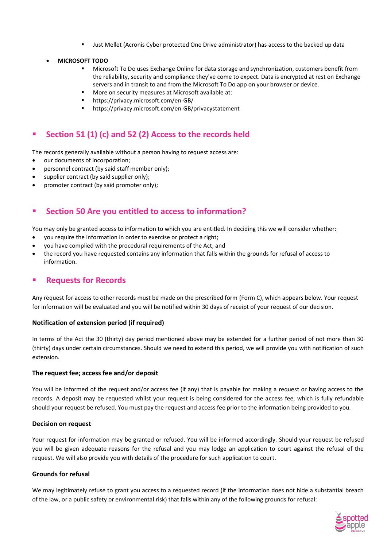- **ULTER 19 THS Mellet (Acronis Cyber protected One Drive administrator) has access to the backed up data**
- **MICROSOFT TODO**
	- Microsoft To Do uses Exchange Online for data storage and synchronization, customers benefit from the reliability, security and compliance they've come to expect. Data is encrypted at rest on Exchange servers and in transit to and from the Microsoft To Do app on your browser or device.
	- More on security measures at Microsoft available at:
	- https://privacy.microsoft.com/en-GB/
	- https://privacy.microsoft.com/en-GB/privacystatement

# **Section 51 (1) (c) and 52 (2) Access to the records held**

The records generally available without a person having to request access are:

- our documents of incorporation;
- personnel contract (by said staff member only);
- supplier contract (by said supplier only);
- promoter contract (by said promoter only);

# **Section 50 Are you entitled to access to information?**

You may only be granted access to information to which you are entitled. In deciding this we will consider whether:

- you require the information in order to exercise or protect a right;
- you have complied with the procedural requirements of the Act; and
- the record you have requested contains any information that falls within the grounds for refusal of access to information.

# **Requests for Records**

Any request for access to other records must be made on the prescribed form (Form C), which appears below. Your request for information will be evaluated and you will be notified within 30 days of receipt of your request of our decision.

#### **Notification of extension period (if required)**

In terms of the Act the 30 (thirty) day period mentioned above may be extended for a further period of not more than 30 (thirty) days under certain circumstances. Should we need to extend this period, we will provide you with notification of such extension.

#### **The request fee; access fee and/or deposit**

You will be informed of the request and/or access fee (if any) that is payable for making a request or having access to the records. A deposit may be requested whilst your request is being considered for the access fee, which is fully refundable should your request be refused. You must pay the request and access fee prior to the information being provided to you.

#### **Decision on request**

Your request for information may be granted or refused. You will be informed accordingly. Should your request be refused you will be given adequate reasons for the refusal and you may lodge an application to court against the refusal of the request. We will also provide you with details of the procedure for such application to court.

#### **Grounds for refusal**

We may legitimately refuse to grant you access to a requested record (if the information does not hide a substantial breach of the law, or a public safety or environmental risk) that falls within any of the following grounds for refusal:

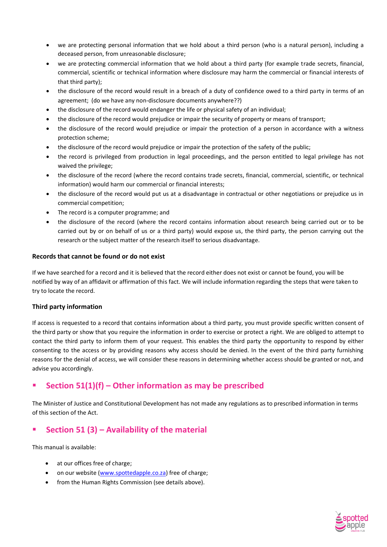- we are protecting personal information that we hold about a third person (who is a natural person), including a deceased person, from unreasonable disclosure;
- we are protecting commercial information that we hold about a third party (for example trade secrets, financial, commercial, scientific or technical information where disclosure may harm the commercial or financial interests of that third party);
- the disclosure of the record would result in a breach of a duty of confidence owed to a third party in terms of an agreement; (do we have any non-disclosure documents anywhere??)
- the disclosure of the record would endanger the life or physical safety of an individual;
- the disclosure of the record would prejudice or impair the security of property or means of transport;
- the disclosure of the record would prejudice or impair the protection of a person in accordance with a witness protection scheme;
- the disclosure of the record would prejudice or impair the protection of the safety of the public;
- the record is privileged from production in legal proceedings, and the person entitled to legal privilege has not waived the privilege;
- the disclosure of the record (where the record contains trade secrets, financial, commercial, scientific, or technical information) would harm our commercial or financial interests;
- the disclosure of the record would put us at a disadvantage in contractual or other negotiations or prejudice us in commercial competition;
- The record is a computer programme; and
- the disclosure of the record (where the record contains information about research being carried out or to be carried out by or on behalf of us or a third party) would expose us, the third party, the person carrying out the research or the subject matter of the research itself to serious disadvantage.

#### **Records that cannot be found or do not exist**

If we have searched for a record and it is believed that the record either does not exist or cannot be found, you will be notified by way of an affidavit or affirmation of this fact. We will include information regarding the steps that were taken to try to locate the record.

#### **Third party information**

If access is requested to a record that contains information about a third party, you must provide specific written consent of the third party or show that you require the information in order to exercise or protect a right. We are obliged to attempt to contact the third party to inform them of your request. This enables the third party the opportunity to respond by either consenting to the access or by providing reasons why access should be denied. In the event of the third party furnishing reasons for the denial of access, we will consider these reasons in determining whether access should be granted or not, and advise you accordingly.

# **Section 51(1)(f) – Other information as may be prescribed**

The Minister of Justice and Constitutional Development has not made any regulations as to prescribed information in terms of this section of the Act.

# ■ Section 51 (3) – Availability of the material

This manual is available:

- at our offices free of charge;
- on our website [\(www.spottedapple.co.za\)](http://www.spottedapple.co.za/) free of charge;
- from the Human Rights Commission (see details above).

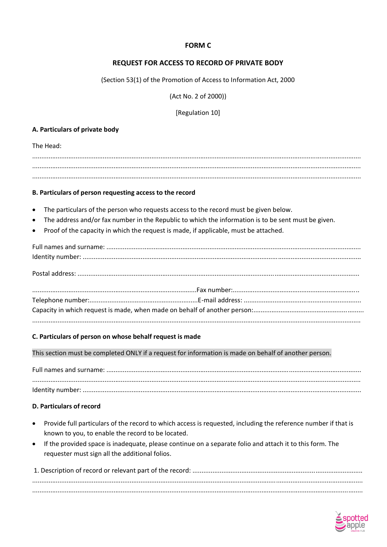# **FORM C**

# **REQUEST FOR ACCESS TO RECORD OF PRIVATE BODY**

(Section 53(1) of the Promotion of Access to Information Act, 2000

(Act No. 2 of 2000))

[Regulation 10]

# A. Particulars of private body

The Head:

# B. Particulars of person requesting access to the record

- The particulars of the person who requests access to the record must be given below.
- The address and/or fax number in the Republic to which the information is to be sent must be given.
- Proof of the capacity in which the request is made, if applicable, must be attached.

#### C. Particulars of person on whose behalf request is made

This section must be completed ONLY if a request for information is made on behalf of another person.

# **D. Particulars of record**

- Provide full particulars of the record to which access is requested, including the reference number if that is known to you, to enable the record to be located.
- If the provided space is inadequate, please continue on a separate folio and attach it to this form. The requester must sign all the additional folios.

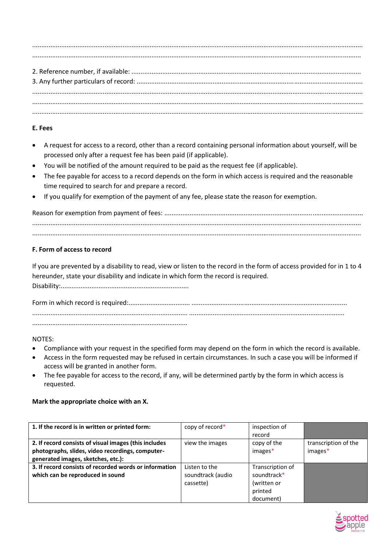....................................................................................................................................................................................... ...................................................................................................................................................................................... 2. Reference number, if available: ............................................................................................................................... 3. Any further particulars of record: ............................................................................................................................. ....................................................................................................................................................................................... ....................................................................................................................................................................................... .......................................................................................................................................................................................

# **E. Fees**

- A request for access to a record, other than a record containing personal information about yourself, will be processed only after a request fee has been paid (if applicable).
- You will be notified of the amount required to be paid as the request fee (if applicable).
- The fee payable for access to a record depends on the form in which access is required and the reasonable time required to search for and prepare a record.
- If you qualify for exemption of the payment of any fee, please state the reason for exemption.

Reason for exemption from payment of fees: .............................................................................................................. ...................................................................................................................................................................................... ......................................................................................................................................................................................

# **F. Form of access to record**

If you are prevented by a disability to read, view or listen to the record in the form of access provided for in 1 to 4 hereunder, state your disability and indicate in which form the record is required.

Disability:.......................................................................

Form in which record is required:.................................. ...................................................................................... ...................................................................................... ...................................................................................... ......................................................................................

# NOTES:

- Compliance with your request in the specified form may depend on the form in which the record is available.
- Access in the form requested may be refused in certain circumstances. In such a case you will be informed if access will be granted in another form.
- The fee payable for access to the record, if any, will be determined partly by the form in which access is requested.

# **Mark the appropriate choice with an X.**

| 1. If the record is in written or printed form:                                                                                                 | copy of record*   | inspection of<br>record |                                   |
|-------------------------------------------------------------------------------------------------------------------------------------------------|-------------------|-------------------------|-----------------------------------|
| 2. If record consists of visual images (this includes<br>photographs, slides, video recordings, computer-<br>generated images, sketches, etc.): | view the images   | copy of the<br>images*  | transcription of the<br>$images*$ |
| 3. If record consists of recorded words or information                                                                                          | Listen to the     | Transcription of        |                                   |
| which can be reproduced in sound                                                                                                                | soundtrack (audio | soundtrack*             |                                   |
|                                                                                                                                                 | cassette)         | (written or             |                                   |
|                                                                                                                                                 |                   | printed                 |                                   |
|                                                                                                                                                 |                   | document)               |                                   |